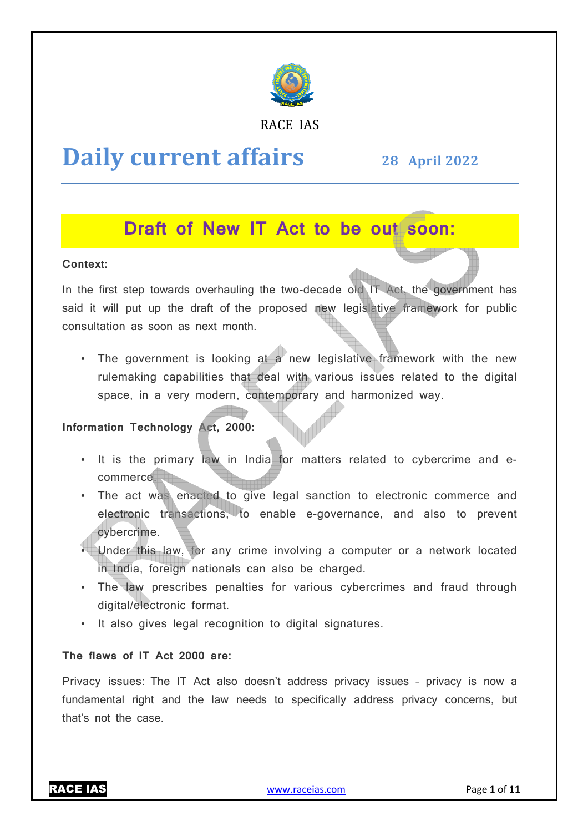

#### RACE IAS

## **Daily current affairs**

**28 April April 2022**

## **Draft of New IT Act to be out soon:**

#### **Context:**

In the first step towards overhauling the two-decade old IT Act, the government has said it will put up the draft of the proposed new legislative framework for public consultation as soon as next month.

• The government is looking at a new legislative framework with the new rulemaking capabilities that deal with various issues related to the digital space, in a very modern, contemporary and harmonized way.

#### **Information Technology Act, 2000:**

- It is the primary law in India for matters related to cybercrime and ecommerce.
- The act was enacted to give legal sanction to electronic commerce and electronic transactions, to enable e-governance, and also to prevent cybercrime.
- Under this law, for any crime involving a computer or a network located in India, foreign nationals can also be charged. governance, and also to prevent<br>g a computer or a network located<br>charged.<br>bus cybercrimes and fraud through<br>signatures.<br>ss privacy issues - privacy is now a
- The law prescribes penalties for various cybercrimes and fraud through digital/electronic format. der this law, for any crime involving a computer<br>India, foreign nationals can also be charged.<br>Le law prescribes penalties for various cybercrin<br>ital/electronic format.<br>Iso gives legal recognition to digital signatures.
- It also gives legal recognition to digital signatures.

#### **The flaws of IT Act 2000 are:**

Privacy issues: The IT Act also doesn't address privacy issues – fundamental right and the law needs to specifically address privacy concerns, but that's not the case.

RACE IAS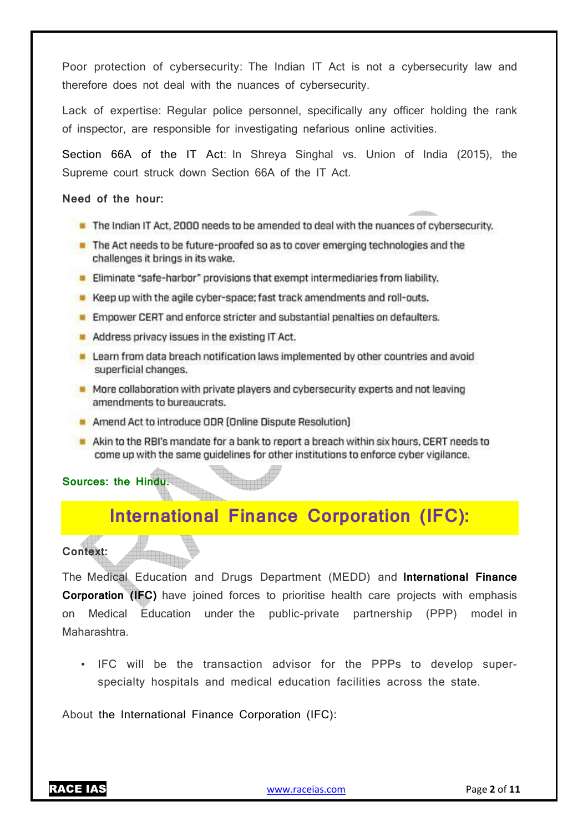Poor protection of cybersecurity: The Indian IT Act is not a cybersecurity law and therefore does not deal with the nuances of cybersecurity.

Lack of expertise: Regular police personnel, specifically any officer holding the rank of inspector, are responsible for investigating nefarious online activities.

Section 66A of the IT Act: In Shreya Singhal vs. Union of India (2015), the Supreme court struck down Section 66A of the IT Act.

#### **Need of the hour:**

The Indian IT Act, 2000 needs to be amended to deal with the nuances of cybersecurity.

 $\begin{picture}(20,20) \put(0,0){\line(1,0){10}} \put(15,0){\line(1,0){10}} \put(15,0){\line(1,0){10}} \put(15,0){\line(1,0){10}} \put(15,0){\line(1,0){10}} \put(15,0){\line(1,0){10}} \put(15,0){\line(1,0){10}} \put(15,0){\line(1,0){10}} \put(15,0){\line(1,0){10}} \put(15,0){\line(1,0){10}} \put(15,0){\line(1,0){10}} \put(15,0){\line(1$ 

- The Act needs to be future-proofed so as to cover emerging technologies and the challenges it brings in its wake.
- Eliminate "safe-harbor" provisions that exempt intermediaries from liability.
- Keep up with the agile cyber-space; fast track amendments and roll-outs.
- **Empower CERT and enforce stricter and substantial penalties on defaulters.**
- Address privacy issues in the existing IT Act.
- Learn from data breach notification laws implemented by other countries and avoid superficial changes.
- More collaboration with private players and cybersecurity experts and not leaving amendments to bureaucrats.
- Amend Act to introduce ODR (Online Dispute Resolution)
- Akin to the RBI's mandate for a bank to report a breach within six hours. CERT needs to come up with the same quidelines for other institutions to enforce cyber vigilance.

**Sources: the Hindu.**

## **International Finance Corporation (IFC):**

#### **Context:**

The Medical Education and Drugs Department (MEDD) and **International Finance Corporation (IFC)** have joined forces to prioritise health care projects with emphasis on Medical Education under the public-private partnership (PPP) model in Maharashtra.

• IFC will be the transaction advisor for the PPPs to develop superspecialty hospitals and medical education facilities across the state.

About the International Finance Corporation (IFC):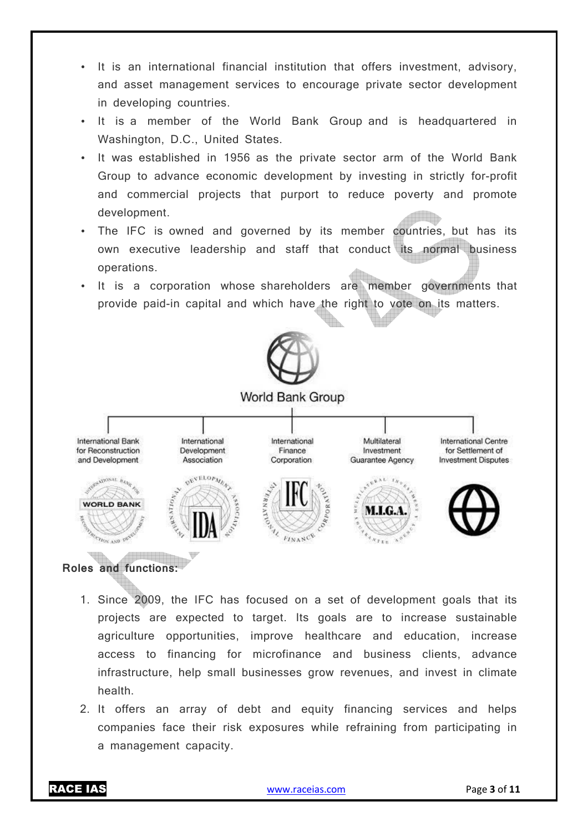- It is an international financial institution that offers investment, advisory, and asset management services to encourage private sector development in developing countries.
- It is a member of the World Bank Group and is headquartered in Washington, D.C., United States.
- It was established in 1956 as the private sector arm of the World Bank Group to advance economic development by investing in strictly for-profit and commercial projects that purport to reduce poverty and promote development.
- The IFC is owned and governed by its member countries, but has its own executive leadership and staff that conduct its normal business operations.
- It is a corporation whose shareholders are member governments that provide paid-in capital and which have the right to vote on its matters.



World Bank Group



#### **Roles and functions:**

- 1. Since 2009, the IFC has focused on a set of development goals that its projects are expected to target. Its goals are to increase sustainable agriculture opportunities, improve healthcare and education, increase access to financing for microfinance and business clients, advance infrastructure, help small businesses grow revenues, and invest in climate health.
- 2. It offers an array of debt and equity financing services and helps companies face their risk exposures while refraining from participating in a management capacity.

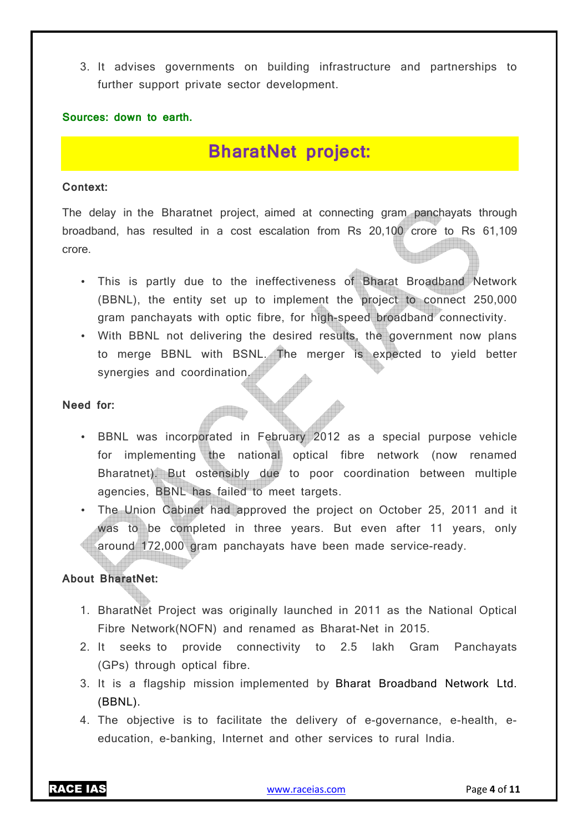3. It advises governments on building infrastructure and partnerships to further support private sector development.

#### **Sources: down to earth.**

### **BharatNet project:**

#### **Context:**

The delay in the Bharatnet project, aimed at connecting gram panchayats through broadband, has resulted in a cost escalation from Rs 20,100 crore to Rs 61,109 crore.

- This is partly due to the ineffectiveness of Bharat Broadband Network (BBNL), the entity set up to implement the project to connect 250,000 gram panchayats with optic fibre, for high-speed broadband connectivity.
- With BBNL not delivering the desired results, the government now plans to merge BBNL with BSNL. The merger is expected to yield better synergies and coordination.

#### **Need for:**

- BBNL was incorporated in February 2012 as a special purpose vehicle for implementing the national optical fibre network (now renamed Bharatnet). But ostensibly due to poor coordination between multiple agencies, BBNL has failed to meet targets.
- The Union Cabinet had approved the project on October 25, 2011 and it was to be completed in three years. But even after 11 years, only around 172,000 gram panchayats have been made service-ready.

#### **About BharatNet:**

- 1. BharatNet Project was originally launched in 2011 as the National Optical Fibre Network(NOFN) and renamed as Bharat-Net in 2015.
- 2. It seeks to provide connectivity to 2.5 lakh Gram Panchayats (GPs) through optical fibre.
- 3. It is a flagship mission implemented by Bharat Broadband Network Ltd. (BBNL).
- 4. The objective is to facilitate the delivery of e-governance, e-health, eeducation, e-banking, Internet and other services to rural India.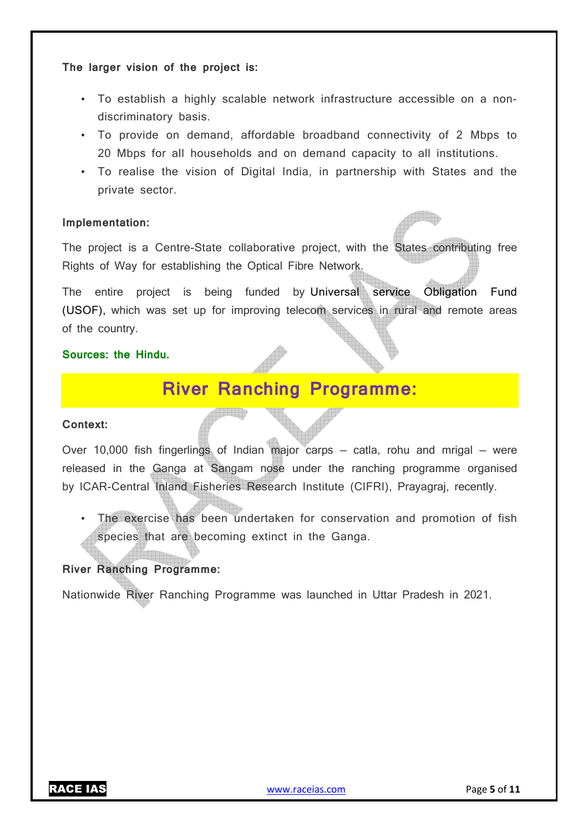#### **The larger vision of the project is:**

- To establish a highly scalable network infrastructure accessible on a nondiscriminatory basis.
- To provide on demand, affordable broadband connectivity of 2 Mbps to 20 Mbps for all households and on demand capacity to all institutions.
- To realise the vision of Digital India, in partnership with States and the private sector.

#### **Implementation:**

The project is a Centre-State collaborative project, with the States contributing free Rights of Way for establishing the Optical Fibre Network.

The entire project is being funded by Universal service Obligation Fund (USOF), which was set up for improving telecom services in rural and remote areas of the country.

#### **Sources: the Hindu.**

## **River Ranching Programme:**

#### **Context:**

Over 10,000 fish fingerlings of Indian major carps — catla, rohu and mrigal — were released in the Ganga at Sangam nose under the ranching programme organised by ICAR-Central Inland Fisheries Research Institute (CIFRI), Prayagraj, recently.

• The exercise has been undertaken for conservation and promotion of fish species that are becoming extinct in the Ganga.

#### **River Ranching Programme:**

Nationwide River Ranching Programme was launched in Uttar Pradesh in 2021.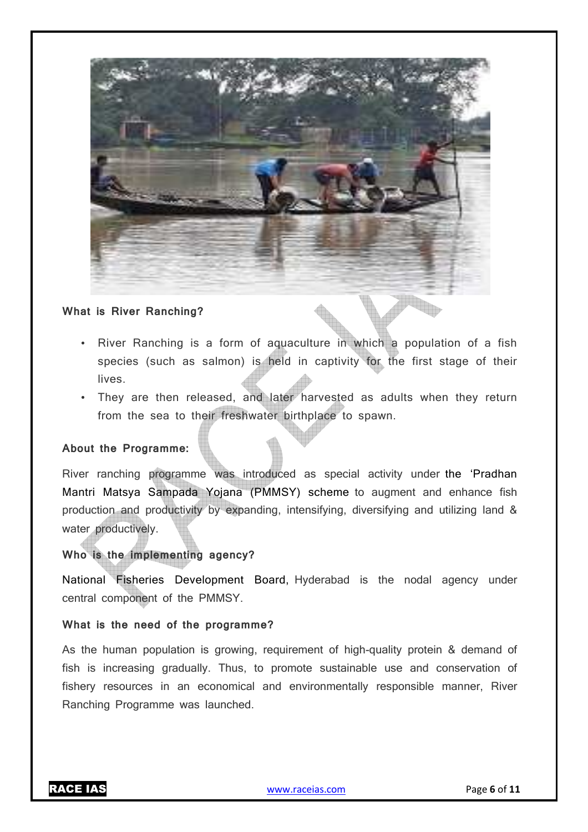#### **What is River Ranching?**

- River Ranching is a form of aquaculture in which a population of a fish species (such as salmon) is held in captivity for the first stage of their lives.
- They are then released, and later harvested as adults when they return from the sea to their freshwater birthplace to spawn.

#### **About the Programme:**

River ranching programme was introduced as special activity under the 'Pradhan Mantri Matsya Sampada Yojana (PMMSY) scheme to augment and enhance fish production and productivity by expanding, intensifying, diversifying and utilizing land & water productively.

#### **Who is the implementing agency?**

National Fisheries Development Board, Hyderabad is the nodal agency under central component of the PMMSY.

#### **What is the need of the programme?**

As the human population is growing, requirement of high-quality protein & demand of fish is increasing gradually. Thus, to promote sustainable use and conservation of fishery resources in an economical and environmentally responsible manner, River Ranching Programme was launched.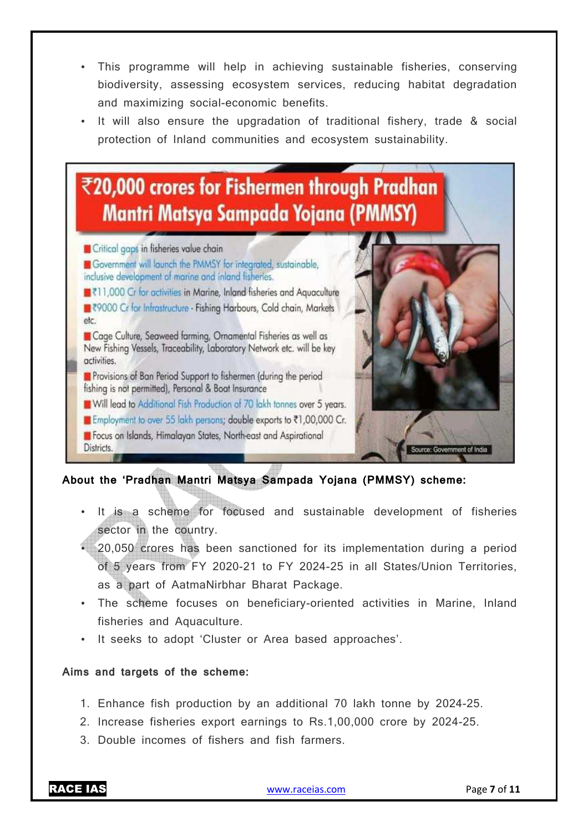- This programme will help in achieving sustainable fisheries, conserving biodiversity, assessing ecosystem services, reducing habitat degradation and maximizing social-economic benefits.
- It will also ensure the upgradation of traditional fishery, trade & social protection of Inland communities and ecosystem sustainability.

# ₹20,000 crores for Fishermen through Pradhan **Mantri Matsya Sampada Yojana (PMMSY)**

**El** Critical gaps in fisheries value chain Government will launch the PMMSY for integrated, sustainable, inclusive development of marine and inland fisheries. ■₹11,000 Cr for activities in Marine, Inland fisheries and Aquaculture ■₹9000 Cr for Infrastructure - Fishing Harbours, Cold chain, Markets etc. Cage Culture, Seaweed farming, Ornamental Fisheries as well as New Fishing Vessels, Traceability, Laboratory Network etc. will be key activities. Provisions of Ban Period Support to fishermen (during the period fishing is not permitted), Personal & Boat Insurance **M** Will lead to Additional Fish Production of 70 lakh tonnes over 5 years. III Employment to over 55 lakh persons; double exports to ₹1,00,000 Cr. **C** Focus on Islands, Himalayan States, North-east and Aspirational

**About the 'Pradhan Mantri Matsya Sampada Yojana (PMMSY) scheme:** 

- It is a scheme for focused and sustainable development of fisheries sector in the country.
- 20,050 crores has been sanctioned for its implementation during a period of 5 years from FY 2020-21 to FY 2024-25 in all States/Union Territories, as a part of AatmaNirbhar Bharat Package.
- The scheme focuses on beneficiary-oriented activities in Marine, Inland fisheries and Aquaculture.
- It seeks to adopt 'Cluster or Area based approaches'.

#### **Aims and targets of the scheme:**

- 1. Enhance fish production by an additional 70 lakh tonne by 2024-25.
- 2. Increase fisheries export earnings to Rs.1,00,000 crore by 2024-25.
- 3. Double incomes of fishers and fish farmers.

Districts.

Government of India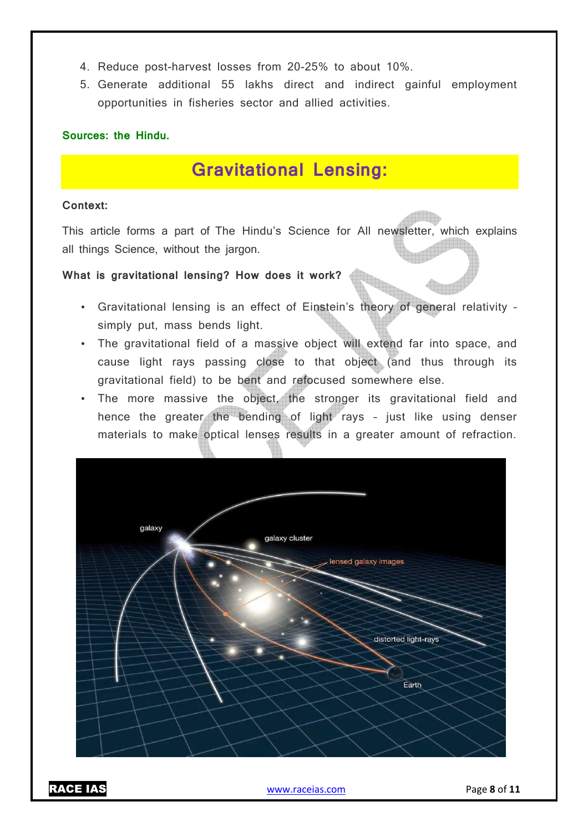- 4. Reduce post-harvest losses from 20-25% to about 10%.
- 5. Generate additional 55 lakhs direct and indirect gainful employment opportunities in fisheries sector and allied activities.

#### **Sources: the Hindu.**

### **Gravitational Lensing:**

#### **Context:**

This article forms a part of The Hindu's Science for All newsletter, which explains all things Science, without the jargon.

# **What is gravitational lensing? How does it work?**

- Gravitational lensing is an effect of Einstein's theory of general relativity simply put, mass bends light.
- The gravitational field of a massive object will extend far into space, and cause light rays passing close to that object (and thus through its gravitational field) to be bent and refocused somewhere else.
- The more massive the object, the stronger its gravitational field and hence the greater the bending of light rays – just like using denser materials to make optical lenses results in a greater amount of refraction.

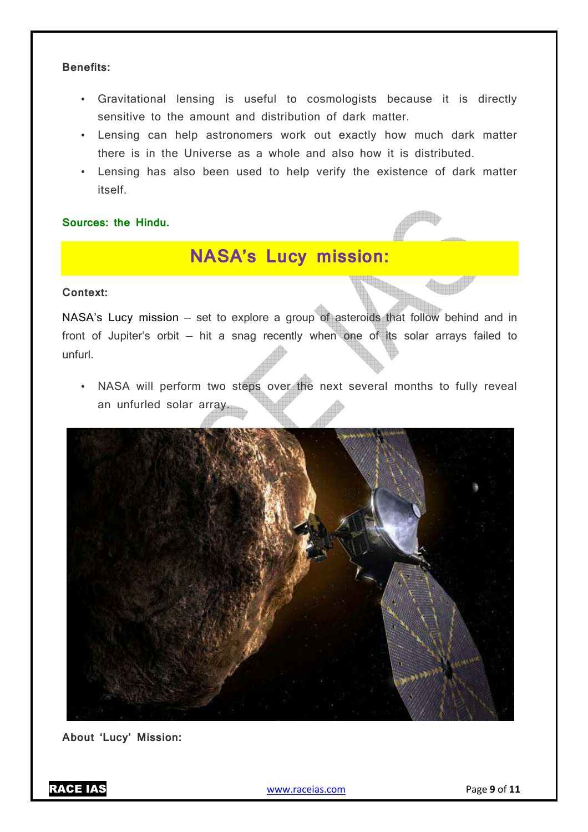#### **Benefits:**

- Gravitational lensing is useful to cosmologists because it is directly sensitive to the amount and distribution of dark matter.
- Lensing can help astronomers work out exactly how much dark matter there is in the Universe as a whole and also how it is distributed.
- Lensing has also been used to help verify the existence of dark matter itself.

**Sources: the Hindu.**

## **NASA's Lucy mission:**

#### **Context:**

NASA's Lucy mission — set to explore a group of asteroids that follow behind and in front of Jupiter's orbit — hit a snag recently when one of its solar arrays failed to unfurl.

• NASA will perform two steps over the next several months to fully reveal an unfurled solar array.



**About 'Lucy' Mission:** 

RACE IAS www.raceias.com Page **9** of **11**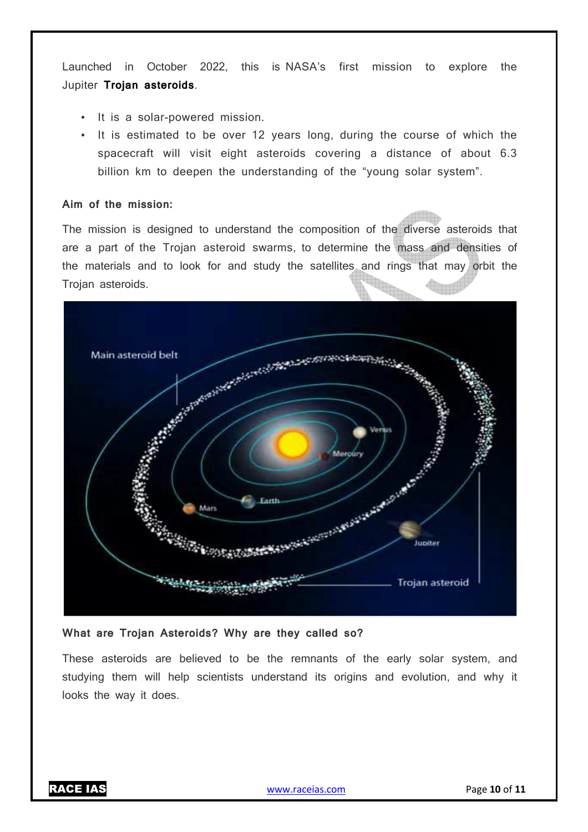Launched in October 2022, this is NASA's first mission to explore the Jupiter **Trojan asteroids**.

- It is a solar-powered mission.
- It is estimated to be over 12 years long, during the course of which the spacecraft will visit eight asteroids covering a distance of about 6.3 billion km to deepen the understanding of the "young solar system".

#### **Aim of the mission:**

The mission is designed to understand the composition of the diverse asteroids that are a part of the Trojan asteroid swarms, to determine the mass and densities of the materials and to look for and study the satellites and rings that may orbit the Trojan asteroids.



#### **What are Trojan Asteroids? Why are they called so?**

These asteroids are believed to be the remnants of the early solar system, and studying them will help scientists understand its origins and evolution, and why it looks the way it does.